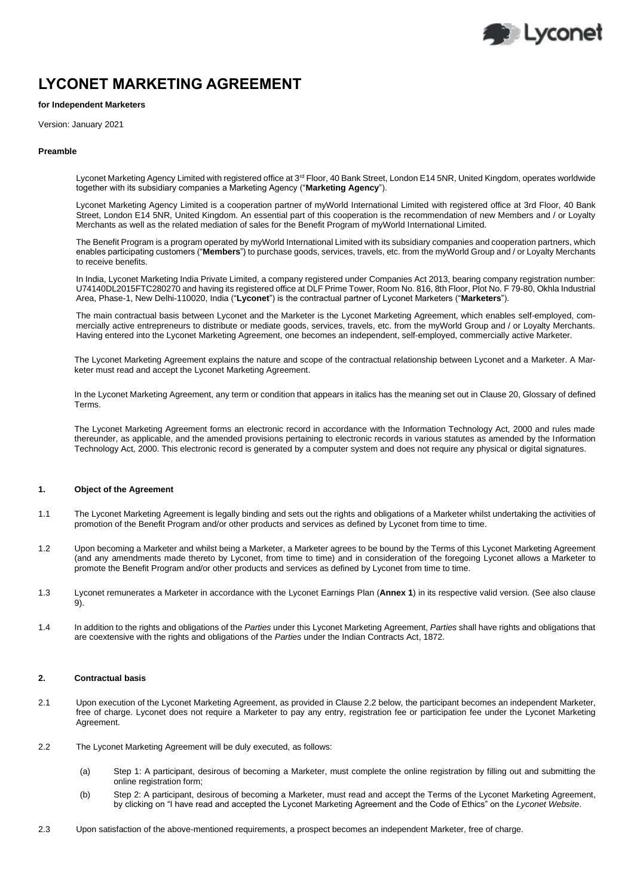

# **LYCONET MARKETING AGREEMENT**

# **for Independent Marketers**

Version: January 2021

#### **Preamble**

Lyconet Marketing Agency Limited with registered office at 3<sup>rd</sup> Floor, 40 Bank Street, London E14 5NR, United Kingdom, operates worldwide together with its subsidiary companies a Marketing Agency ("**Marketing Agency**").

Lyconet Marketing Agency Limited is a cooperation partner of myWorld International Limited with registered office at 3rd Floor, 40 Bank Street, London E14 5NR, United Kingdom. An essential part of this cooperation is the recommendation of new Members and / or Loyalty Merchants as well as the related mediation of sales for the Benefit Program of myWorld International Limited.

The Benefit Program is a program operated by myWorld International Limited with its subsidiary companies and cooperation partners, which enables participating customers ("**Members**") to purchase goods, services, travels, etc. from the myWorld Group and / or Loyalty Merchants to receive benefits.

In India, Lyconet Marketing India Private Limited, a company registered under Companies Act 2013, bearing company registration number: U74140DL2015FTC280270 and having its registered office at DLF Prime Tower, Room No. 816, 8th Floor, Plot No. F 79-80, Okhla Industrial Area, Phase-1, New Delhi-110020, India ("**Lyconet**") is the contractual partner of Lyconet Marketers ("**Marketers**").

The main contractual basis between Lyconet and the Marketer is the Lyconet Marketing Agreement, which enables self-employed, commercially active entrepreneurs to distribute or mediate goods, services, travels, etc. from the myWorld Group and / or Loyalty Merchants. Having entered into the Lyconet Marketing Agreement, one becomes an independent, self-employed, commercially active Marketer.

The Lyconet Marketing Agreement explains the nature and scope of the contractual relationship between Lyconet and a Marketer. A Marketer must read and accept the Lyconet Marketing Agreement.

In the Lyconet Marketing Agreement, any term or condition that appears in italics has the meaning set out in Clause 20, Glossary of defined Terms.

The Lyconet Marketing Agreement forms an electronic record in accordance with the Information Technology Act, 2000 and rules made thereunder, as applicable, and the amended provisions pertaining to electronic records in various statutes as amended by the Information Technology Act, 2000. This electronic record is generated by a computer system and does not require any physical or digital signatures.

## **1. Object of the Agreement**

- 1.1 The Lyconet Marketing Agreement is legally binding and sets out the rights and obligations of a Marketer whilst undertaking the activities of promotion of the Benefit Program and/or other products and services as defined by Lyconet from time to time.
- 1.2 Upon becoming a Marketer and whilst being a Marketer, a Marketer agrees to be bound by the Terms of this Lyconet Marketing Agreement (and any amendments made thereto by Lyconet, from time to time) and in consideration of the foregoing Lyconet allows a Marketer to promote the Benefit Program and/or other products and services as defined by Lyconet from time to time.
- 1.3 Lyconet remunerates a Marketer in accordance with the Lyconet Earnings Plan (**Annex 1**) in its respective valid version. (See also clause 9).
- 1.4 In addition to the rights and obligations of the *Parties* under this Lyconet Marketing Agreement, *Parties* shall have rights and obligations that are coextensive with the rights and obligations of the *Parties* under the Indian Contracts Act, 1872.

## **2. Contractual basis**

- 2.1 Upon execution of the Lyconet Marketing Agreement, as provided in Clause 2.2 below, the participant becomes an independent Marketer, free of charge. Lyconet does not require a Marketer to pay any entry, registration fee or participation fee under the Lyconet Marketing Agreement.
- 2.2 The Lyconet Marketing Agreement will be duly executed, as follows:
	- (a) Step 1: A participant, desirous of becoming a Marketer, must complete the online registration by filling out and submitting the online registration form;
	- (b) Step 2: A participant, desirous of becoming a Marketer, must read and accept the Terms of the Lyconet Marketing Agreement, by clicking on "I have read and accepted the Lyconet Marketing Agreement and the Code of Ethics" on the *Lyconet Website*.
- 2.3 Upon satisfaction of the above-mentioned requirements, a prospect becomes an independent Marketer, free of charge.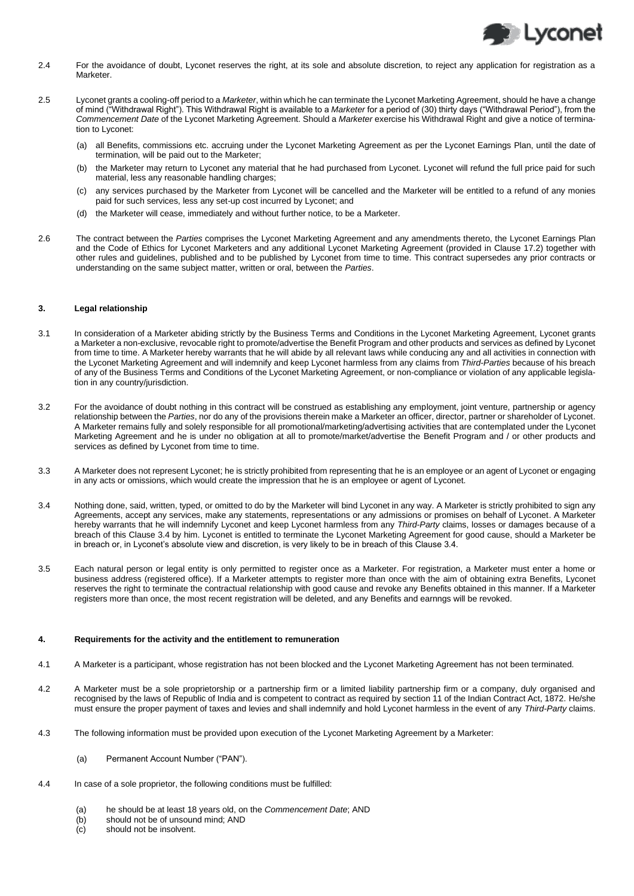

- 2.4 For the avoidance of doubt, Lyconet reserves the right, at its sole and absolute discretion, to reject any application for registration as a Marketer.
- 2.5 Lyconet grants a cooling-off period to a *Marketer*, within which he can terminate the Lyconet Marketing Agreement, should he have a change of mind ("Withdrawal Right"). This Withdrawal Right is available to a *Marketer* for a period of (30) thirty days ("Withdrawal Period"), from the *Commencement Date* of the Lyconet Marketing Agreement. Should a *Marketer* exercise his Withdrawal Right and give a notice of termination to Lyconet:
	- (a) all Benefits, commissions etc. accruing under the Lyconet Marketing Agreement as per the Lyconet Earnings Plan, until the date of termination, will be paid out to the Marketer;
	- (b) the Marketer may return to Lyconet any material that he had purchased from Lyconet. Lyconet will refund the full price paid for such material, less any reasonable handling charges;
	- (c) any services purchased by the Marketer from Lyconet will be cancelled and the Marketer will be entitled to a refund of any monies paid for such services, less any set-up cost incurred by Lyconet; and
	- (d) the Marketer will cease, immediately and without further notice, to be a Marketer.
- 2.6 The contract between the *Parties* comprises the Lyconet Marketing Agreement and any amendments thereto, the Lyconet Earnings Plan and the Code of Ethics for Lyconet Marketers and any additional Lyconet Marketing Agreement (provided in Clause 17.2) together with other rules and guidelines, published and to be published by Lyconet from time to time. This contract supersedes any prior contracts or understanding on the same subject matter, written or oral, between the *Parties*.

#### **3. Legal relationship**

- 3.1 In consideration of a Marketer abiding strictly by the Business Terms and Conditions in the Lyconet Marketing Agreement, Lyconet grants a Marketer a non-exclusive, revocable right to promote/advertise the Benefit Program and other products and services as defined by Lyconet from time to time. A Marketer hereby warrants that he will abide by all relevant laws while conducing any and all activities in connection with the Lyconet Marketing Agreement and will indemnify and keep Lyconet harmless from any claims from *Third-Parties* because of his breach of any of the Business Terms and Conditions of the Lyconet Marketing Agreement, or non-compliance or violation of any applicable legislation in any country/jurisdiction.
- 3.2 For the avoidance of doubt nothing in this contract will be construed as establishing any employment, joint venture, partnership or agency relationship between the *Parties*, nor do any of the provisions therein make a Marketer an officer, director, partner or shareholder of Lyconet. A Marketer remains fully and solely responsible for all promotional/marketing/advertising activities that are contemplated under the Lyconet Marketing Agreement and he is under no obligation at all to promote/market/advertise the Benefit Program and / or other products and services as defined by Lyconet from time to time.
- 3.3 A Marketer does not represent Lyconet; he is strictly prohibited from representing that he is an employee or an agent of Lyconet or engaging in any acts or omissions, which would create the impression that he is an employee or agent of Lyconet.
- 3.4 Nothing done, said, written, typed, or omitted to do by the Marketer will bind Lyconet in any way. A Marketer is strictly prohibited to sign any Agreements, accept any services, make any statements, representations or any admissions or promises on behalf of Lyconet. A Marketer hereby warrants that he will indemnify Lyconet and keep Lyconet harmless from any *Third-Party* claims, losses or damages because of a breach of this Clause 3.4 by him. Lyconet is entitled to terminate the Lyconet Marketing Agreement for good cause, should a Marketer be in breach or, in Lyconet's absolute view and discretion, is very likely to be in breach of this Clause 3.4.
- 3.5 Each natural person or legal entity is only permitted to register once as a Marketer. For registration, a Marketer must enter a home or business address (registered office). If a Marketer attempts to register more than once with the aim of obtaining extra Benefits, Lyconet reserves the right to terminate the contractual relationship with good cause and revoke any Benefits obtained in this manner. If a Marketer registers more than once, the most recent registration will be deleted, and any Benefits and earnngs will be revoked.

## **4. Requirements for the activity and the entitlement to remuneration**

- 4.1 A Marketer is a participant, whose registration has not been blocked and the Lyconet Marketing Agreement has not been terminated.
- 4.2 A Marketer must be a sole proprietorship or a partnership firm or a limited liability partnership firm or a company, duly organised and recognised by the laws of Republic of India and is competent to contract as required by section 11 of the Indian Contract Act, 1872. He/she must ensure the proper payment of taxes and levies and shall indemnify and hold Lyconet harmless in the event of any *Third-Party* claims.
- 4.3 The following information must be provided upon execution of the Lyconet Marketing Agreement by a Marketer:
	- (a) Permanent Account Number ("PAN").
- 4.4 In case of a sole proprietor, the following conditions must be fulfilled:
	- (a) he should be at least 18 years old, on the *Commencement Date*; AND
	- (b) should not be of unsound mind; AND
	- (c) should not be insolvent.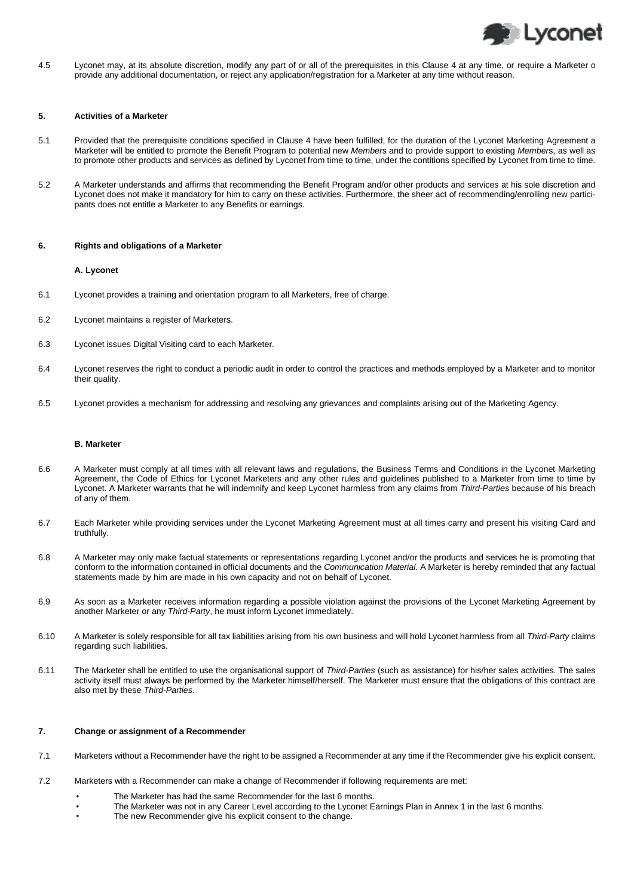

4.5 Lyconet may, at its absolute discretion, modify any part of or all of the prerequisites in this Clause 4 at any time, or require a Marketer o provide any additional documentation, or reject any application/registration for a Marketer at any time without reason.

#### **5. Activities of a Marketer**

- 5.1 Provided that the prerequisite conditions specified in Clause 4 have been fulfilled, for the duration of the Lyconet Marketing Agreement a Marketer will be entitled to promote the Benefit Program to potential new *Member*s and to provide support to existing *Member*s, as well as to promote other products and services as defined by Lyconet from time to time, under the contitions specified by Lyconet from time to time.
- 5.2 A Marketer understands and affirms that recommending the Benefit Program and/or other products and services at his sole discretion and Lyconet does not make it mandatory for him to carry on these activities. Furthermore, the sheer act of recommending/enrolling new participants does not entitle a Marketer to any Benefits or earnings.

#### **6. Rights and obligations of a Marketer**

#### **A. Lyconet**

- 6.1 Lyconet provides a training and orientation program to all Marketers, free of charge.
- 6.2 Lyconet maintains a register of Marketers.
- 6.3 Lyconet issues Digital Visiting card to each Marketer.
- 6.4 Lyconet reserves the right to conduct a periodic audit in order to control the practices and methods employed by a Marketer and to monitor their quality.
- 6.5 Lyconet provides a mechanism for addressing and resolving any grievances and complaints arising out of the Marketing Agency.

#### **B. Marketer**

- 6.6 A Marketer must comply at all times with all relevant laws and regulations, the Business Terms and Conditions in the Lyconet Marketing Agreement, the Code of Ethics for Lyconet Marketers and any other rules and guidelines published to a Marketer from time to time by Lyconet. A Marketer warrants that he will indemnify and keep Lyconet harmless from any claims from *Third-Parties* because of his breach of any of them.
- 6.7 Each Marketer while providing services under the Lyconet Marketing Agreement must at all times carry and present his visiting Card and truthfully.
- 6.8 A Marketer may only make factual statements or representations regarding Lyconet and/or the products and services he is promoting that conform to the information contained in official documents and the *Communication Material*. A Marketer is hereby reminded that any factual statements made by him are made in his own capacity and not on behalf of Lyconet.
- 6.9 As soon as a Marketer receives information regarding a possible violation against the provisions of the Lyconet Marketing Agreement by another Marketer or any *Third-Party*, he must inform Lyconet immediately.
- 6.10 A Marketer is solely responsible for all tax liabilities arising from his own business and will hold Lyconet harmless from all *Third-Party* claims regarding such liabilities.
- 6.11 The Marketer shall be entitled to use the organisational support of *Third-Parties* (such as assistance) for his/her sales activities. The sales activity itself must always be performed by the Marketer himself/herself. The Marketer must ensure that the obligations of this contract are also met by these *Third-Parties*.

#### **7. Change or assignment of a Recommender**

- 7.1 Marketers without a Recommender have the right to be assigned a Recommender at any time if the Recommender give his explicit consent.
- 7.2 Marketers with a Recommender can make a change of Recommender if following requirements are met:
	- The Marketer has had the same Recommender for the last 6 months.
	- The Marketer was not in any Career Level according to the Lyconet Earnings Plan in Annex 1 in the last 6 months.
	- The new Recommender give his explicit consent to the change.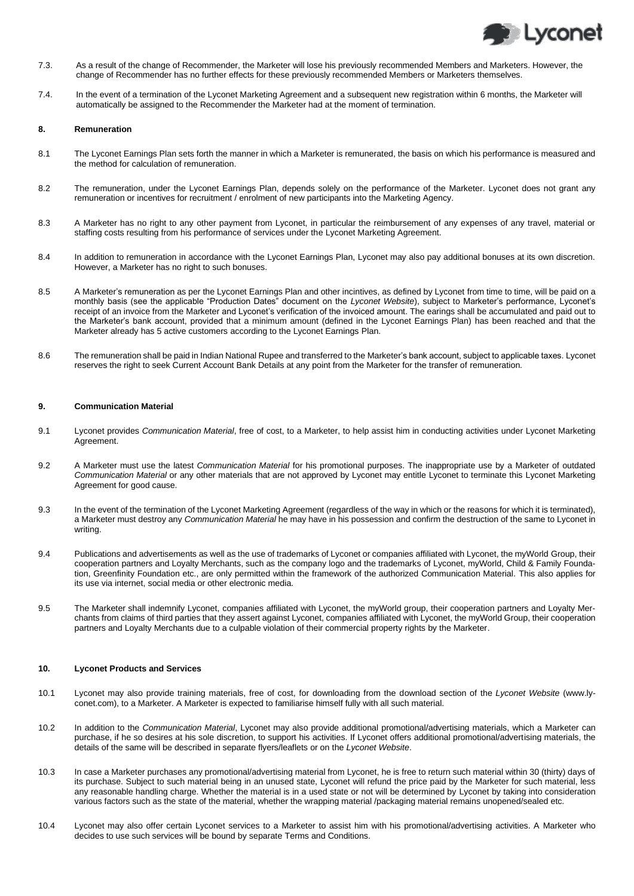

- 7.3. As a result of the change of Recommender, the Marketer will lose his previously recommended Members and Marketers. However, the change of Recommender has no further effects for these previously recommended Members or Marketers themselves.
- 7.4. In the event of a termination of the Lyconet Marketing Agreement and a subsequent new registration within 6 months, the Marketer will automatically be assigned to the Recommender the Marketer had at the moment of termination.

#### **8. Remuneration**

- 8.1 The Lyconet Earnings Plan sets forth the manner in which a Marketer is remunerated, the basis on which his performance is measured and the method for calculation of remuneration.
- 8.2 The remuneration, under the Lyconet Earnings Plan, depends solely on the performance of the Marketer. Lyconet does not grant any remuneration or incentives for recruitment / enrolment of new participants into the Marketing Agency.
- 8.3 A Marketer has no right to any other payment from Lyconet, in particular the reimbursement of any expenses of any travel, material or staffing costs resulting from his performance of services under the Lyconet Marketing Agreement.
- 8.4 In addition to remuneration in accordance with the Lyconet Earnings Plan, Lyconet may also pay additional bonuses at its own discretion. However, a Marketer has no right to such bonuses.
- 8.5 A Marketer's remuneration as per the Lyconet Earnings Plan and other incintives, as defined by Lyconet from time to time, will be paid on a monthly basis (see the applicable "Production Dates" document on the *Lyconet Website*), subject to Marketer's performance, Lyconet's receipt of an invoice from the Marketer and Lyconet's verification of the invoiced amount. The earings shall be accumulated and paid out to the Marketer's bank account, provided that a minimum amount (defined in the Lyconet Earnings Plan) has been reached and that the Marketer already has 5 active customers according to the Lyconet Earnings Plan.
- 8.6 The remuneration shall be paid in Indian National Rupee and transferred to the Marketer's bank account, subject to applicable taxes. Lyconet reserves the right to seek Current Account Bank Details at any point from the Marketer for the transfer of remuneration.

## **9. Communication Material**

- 9.1 Lyconet provides *Communication Material*, free of cost, to a Marketer, to help assist him in conducting activities under Lyconet Marketing Agreement
- 9.2 A Marketer must use the latest *Communication Material* for his promotional purposes. The inappropriate use by a Marketer of outdated *Communication Material* or any other materials that are not approved by Lyconet may entitle Lyconet to terminate this Lyconet Marketing Agreement for good cause.
- 9.3 In the event of the termination of the Lyconet Marketing Agreement (regardless of the way in which or the reasons for which it is terminated), a Marketer must destroy any *Communication Material* he may have in his possession and confirm the destruction of the same to Lyconet in writing.
- 9.4 Publications and advertisements as well as the use of trademarks of Lyconet or companies affiliated with Lyconet, the myWorld Group, their cooperation partners and Loyalty Merchants, such as the company logo and the trademarks of Lyconet, myWorld, Child & Family Foundation, Greenfinity Foundation etc., are only permitted within the framework of the authorized Communication Material. This also applies for its use via internet, social media or other electronic media.
- 9.5 The Marketer shall indemnify Lyconet, companies affiliated with Lyconet, the myWorld group, their cooperation partners and Loyalty Merchants from claims of third parties that they assert against Lyconet, companies affiliated with Lyconet, the myWorld Group, their cooperation partners and Loyalty Merchants due to a culpable violation of their commercial property rights by the Marketer.

## **10. Lyconet Products and Services**

- 10.1 Lyconet may also provide training materials, free of cost, for downloading from the download section of the *Lyconet Website* (www.lyconet.com), to a Marketer. A Marketer is expected to familiarise himself fully with all such material.
- 10.2 In addition to the *Communication Material*, Lyconet may also provide additional promotional/advertising materials, which a Marketer can purchase, if he so desires at his sole discretion, to support his activities. If Lyconet offers additional promotional/advertising materials, the details of the same will be described in separate flyers/leaflets or on the *Lyconet Website*.
- 10.3 In case a Marketer purchases any promotional/advertising material from Lyconet, he is free to return such material within 30 (thirty) days of its purchase. Subject to such material being in an unused state, Lyconet will refund the price paid by the Marketer for such material, less any reasonable handling charge. Whether the material is in a used state or not will be determined by Lyconet by taking into consideration various factors such as the state of the material, whether the wrapping material /packaging material remains unopened/sealed etc.
- 10.4 Lyconet may also offer certain Lyconet services to a Marketer to assist him with his promotional/advertising activities. A Marketer who decides to use such services will be bound by separate Terms and Conditions.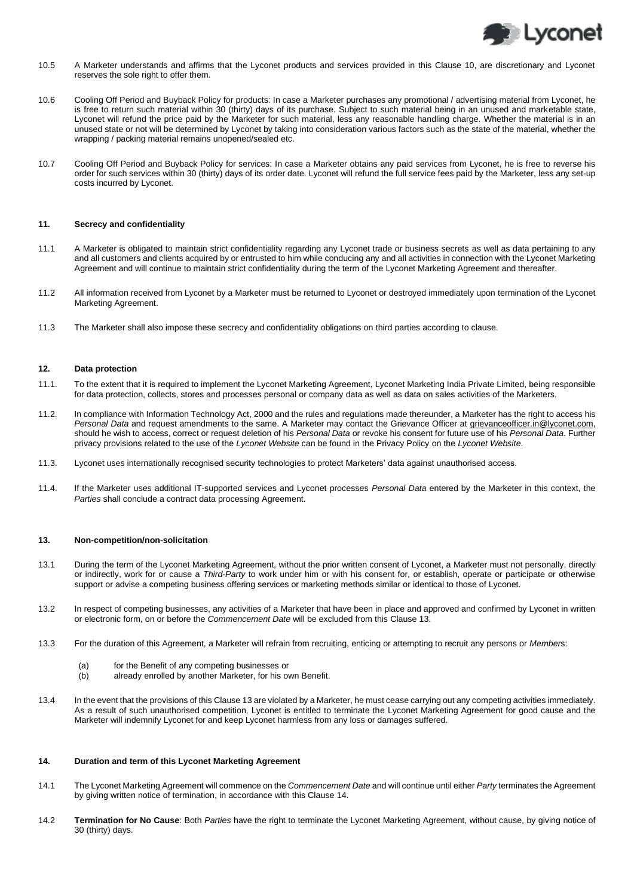

- 10.5 A Marketer understands and affirms that the Lyconet products and services provided in this Clause 10, are discretionary and Lyconet reserves the sole right to offer them.
- 10.6 Cooling Off Period and Buyback Policy for products: In case a Marketer purchases any promotional / advertising material from Lyconet, he is free to return such material within 30 (thirty) days of its purchase. Subject to such material being in an unused and marketable state, Lyconet will refund the price paid by the Marketer for such material, less any reasonable handling charge. Whether the material is in an unused state or not will be determined by Lyconet by taking into consideration various factors such as the state of the material, whether the wrapping / packing material remains unopened/sealed etc.
- 10.7 Cooling Off Period and Buyback Policy for services: In case a Marketer obtains any paid services from Lyconet, he is free to reverse his order for such services within 30 (thirty) days of its order date. Lyconet will refund the full service fees paid by the Marketer, less any set-up costs incurred by Lyconet.

#### **11. Secrecy and confidentiality**

- 11.1 A Marketer is obligated to maintain strict confidentiality regarding any Lyconet trade or business secrets as well as data pertaining to any and all customers and clients acquired by or entrusted to him while conducing any and all activities in connection with the Lyconet Marketing Agreement and will continue to maintain strict confidentiality during the term of the Lyconet Marketing Agreement and thereafter.
- 11.2 All information received from Lyconet by a Marketer must be returned to Lyconet or destroyed immediately upon termination of the Lyconet Marketing Agreement.
- 11.3 The Marketer shall also impose these secrecy and confidentiality obligations on third parties according to clause.

#### **12. Data protection**

- 11.1. To the extent that it is required to implement the Lyconet Marketing Agreement, Lyconet Marketing India Private Limited, being responsible for data protection, collects, stores and processes personal or company data as well as data on sales activities of the Marketers.
- 11.2. In compliance with Information Technology Act, 2000 and the rules and regulations made thereunder, a Marketer has the right to access his *Personal Data* and request amendments to the same. A Marketer may contact the Grievance Officer at grievanceofficer.in@lyconet.com, should he wish to access, correct or request deletion of his *Personal Data* or revoke his consent for future use of his *Personal Data*. Further privacy provisions related to the use of the *Lyconet Website* can be found in the Privacy Policy on the *Lyconet Website*.
- 11.3. Lyconet uses internationally recognised security technologies to protect Marketers' data against unauthorised access.
- 11.4. If the Marketer uses additional IT-supported services and Lyconet processes *Personal Data* entered by the Marketer in this context, the *Parties* shall conclude a contract data processing Agreement.

## **13. Non-competition/non-solicitation**

- 13.1 During the term of the Lyconet Marketing Agreement, without the prior written consent of Lyconet, a Marketer must not personally, directly or indirectly, work for or cause a *Third-Party* to work under him or with his consent for, or establish, operate or participate or otherwise support or advise a competing business offering services or marketing methods similar or identical to those of Lyconet.
- 13.2 In respect of competing businesses, any activities of a Marketer that have been in place and approved and confirmed by Lyconet in written or electronic form, on or before the *Commencement Date* will be excluded from this Clause 13.
- 13.3 For the duration of this Agreement, a Marketer will refrain from recruiting, enticing or attempting to recruit any persons or *Member*s:
	- (a) for the Benefit of any competing businesses or<br>
	(b) already enrolled by another Marketer, for his ov
	- already enrolled by another Marketer, for his own Benefit.
- 13.4 In the event that the provisions of this Clause 13 are violated by a Marketer, he must cease carrying out any competing activities immediately. As a result of such unauthorised competition, Lyconet is entitled to terminate the Lyconet Marketing Agreement for good cause and the Marketer will indemnify Lyconet for and keep Lyconet harmless from any loss or damages suffered.

# **14. Duration and term of this Lyconet Marketing Agreement**

- 14.1 The Lyconet Marketing Agreement will commence on the *Commencement Date* and will continue until either *Party* terminates the Agreement by giving written notice of termination, in accordance with this Clause 14.
- 14.2 **Termination for No Cause**: Both *Parties* have the right to terminate the Lyconet Marketing Agreement, without cause, by giving notice of 30 (thirty) days.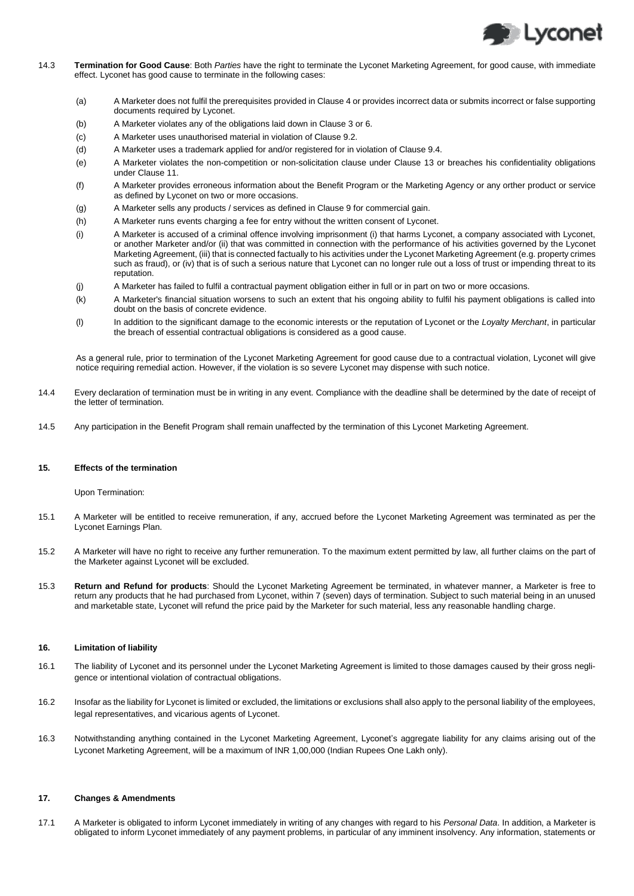

- 14.3 **Termination for Good Cause**: Both *Parties* have the right to terminate the Lyconet Marketing Agreement, for good cause, with immediate effect. Lyconet has good cause to terminate in the following cases:
	- (a) A Marketer does not fulfil the prerequisites provided in Clause 4 or provides incorrect data or submits incorrect or false supporting documents required by Lyconet.
	- (b) A Marketer violates any of the obligations laid down in Clause 3 or 6.
	- (c) A Marketer uses unauthorised material in violation of Clause 9.2.
	- (d) A Marketer uses a trademark applied for and/or registered for in violation of Clause 9.4.
	- (e) A Marketer violates the non-competition or non-solicitation clause under Clause 13 or breaches his confidentiality obligations under Clause 11.
	- (f) A Marketer provides erroneous information about the Benefit Program or the Marketing Agency or any orther product or service as defined by Lyconet on two or more occasions.
	- (g) A Marketer sells any products / services as defined in Clause 9 for commercial gain.
	- (h) A Marketer runs events charging a fee for entry without the written consent of Lyconet.
	- (i) A Marketer is accused of a criminal offence involving imprisonment (i) that harms Lyconet, a company associated with Lyconet, or another Marketer and/or (ii) that was committed in connection with the performance of his activities governed by the Lyconet Marketing Agreement, (iii) that is connected factually to his activities under the Lyconet Marketing Agreement (e.g. property crimes such as fraud), or (iv) that is of such a serious nature that Lyconet can no longer rule out a loss of trust or impending threat to its reputation.
	- (j) A Marketer has failed to fulfil a contractual payment obligation either in full or in part on two or more occasions.
	- (k) A Marketer's financial situation worsens to such an extent that his ongoing ability to fulfil his payment obligations is called into doubt on the basis of concrete evidence.
	- (l) In addition to the significant damage to the economic interests or the reputation of Lyconet or the *Loyalty Merchant*, in particular the breach of essential contractual obligations is considered as a good cause.

As a general rule, prior to termination of the Lyconet Marketing Agreement for good cause due to a contractual violation, Lyconet will give notice requiring remedial action. However, if the violation is so severe Lyconet may dispense with such notice.

- 14.4 Every declaration of termination must be in writing in any event. Compliance with the deadline shall be determined by the date of receipt of the letter of termination.
- 14.5 Any participation in the Benefit Program shall remain unaffected by the termination of this Lyconet Marketing Agreement.

## **15. Effects of the termination**

Upon Termination:

- 15.1 A Marketer will be entitled to receive remuneration, if any, accrued before the Lyconet Marketing Agreement was terminated as per the Lyconet Earnings Plan.
- 15.2 A Marketer will have no right to receive any further remuneration. To the maximum extent permitted by law, all further claims on the part of the Marketer against Lyconet will be excluded.
- 15.3 **Return and Refund for products**: Should the Lyconet Marketing Agreement be terminated, in whatever manner, a Marketer is free to return any products that he had purchased from Lyconet, within 7 (seven) days of termination. Subject to such material being in an unused and marketable state, Lyconet will refund the price paid by the Marketer for such material, less any reasonable handling charge.

## **16. Limitation of liability**

- 16.1 The liability of Lyconet and its personnel under the Lyconet Marketing Agreement is limited to those damages caused by their gross negligence or intentional violation of contractual obligations.
- 16.2 Insofar as the liability for Lyconet is limited or excluded, the limitations or exclusions shall also apply to the personal liability of the employees, legal representatives, and vicarious agents of Lyconet.
- 16.3 Notwithstanding anything contained in the Lyconet Marketing Agreement, Lyconet's aggregate liability for any claims arising out of the Lyconet Marketing Agreement, will be a maximum of INR 1,00,000 (Indian Rupees One Lakh only).

# **17. Changes & Amendments**

17.1 A Marketer is obligated to inform Lyconet immediately in writing of any changes with regard to his *Personal Data*. In addition, a Marketer is obligated to inform Lyconet immediately of any payment problems, in particular of any imminent insolvency. Any information, statements or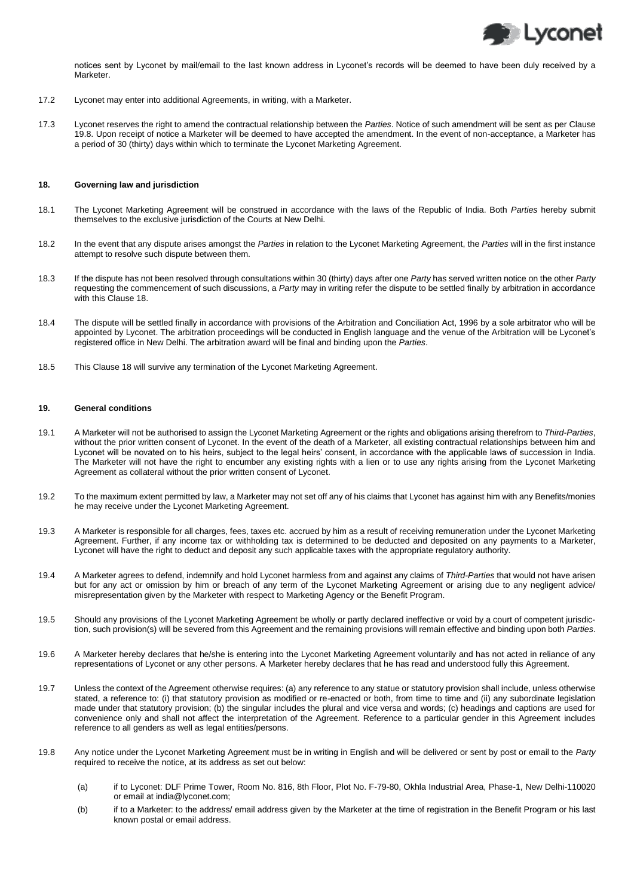

notices sent by Lyconet by mail/email to the last known address in Lyconet's records will be deemed to have been duly received by a Marketer.

- 17.2 Lyconet may enter into additional Agreements, in writing, with a Marketer.
- 17.3 Lyconet reserves the right to amend the contractual relationship between the *Parties*. Notice of such amendment will be sent as per Clause 19.8. Upon receipt of notice a Marketer will be deemed to have accepted the amendment. In the event of non-acceptance, a Marketer has a period of 30 (thirty) days within which to terminate the Lyconet Marketing Agreement.

#### **18. Governing law and jurisdiction**

- 18.1 The Lyconet Marketing Agreement will be construed in accordance with the laws of the Republic of India. Both *Parties* hereby submit themselves to the exclusive jurisdiction of the Courts at New Delhi.
- 18.2 In the event that any dispute arises amongst the *Parties* in relation to the Lyconet Marketing Agreement, the *Parties* will in the first instance attempt to resolve such dispute between them.
- 18.3 If the dispute has not been resolved through consultations within 30 (thirty) days after one *Party* has served written notice on the other *Party* requesting the commencement of such discussions, a *Party* may in writing refer the dispute to be settled finally by arbitration in accordance with this Clause 18.
- 18.4 The dispute will be settled finally in accordance with provisions of the Arbitration and Conciliation Act, 1996 by a sole arbitrator who will be appointed by Lyconet. The arbitration proceedings will be conducted in English language and the venue of the Arbitration will be Lyconet's registered office in New Delhi. The arbitration award will be final and binding upon the *Parties*.
- 18.5 This Clause 18 will survive any termination of the Lyconet Marketing Agreement.

#### **19. General conditions**

- 19.1 A Marketer will not be authorised to assign the Lyconet Marketing Agreement or the rights and obligations arising therefrom to *Third-Parties*, without the prior written consent of Lyconet. In the event of the death of a Marketer, all existing contractual relationships between him and Lyconet will be novated on to his heirs, subject to the legal heirs' consent, in accordance with the applicable laws of succession in India. The Marketer will not have the right to encumber any existing rights with a lien or to use any rights arising from the Lyconet Marketing Agreement as collateral without the prior written consent of Lyconet.
- 19.2 To the maximum extent permitted by law, a Marketer may not set off any of his claims that Lyconet has against him with any Benefits/monies he may receive under the Lyconet Marketing Agreement.
- 19.3 A Marketer is responsible for all charges, fees, taxes etc. accrued by him as a result of receiving remuneration under the Lyconet Marketing Agreement. Further, if any income tax or withholding tax is determined to be deducted and deposited on any payments to a Marketer, Lyconet will have the right to deduct and deposit any such applicable taxes with the appropriate regulatory authority.
- 19.4 A Marketer agrees to defend, indemnify and hold Lyconet harmless from and against any claims of *Third-Parties* that would not have arisen but for any act or omission by him or breach of any term of the Lyconet Marketing Agreement or arising due to any negligent advice/ misrepresentation given by the Marketer with respect to Marketing Agency or the Benefit Program.
- 19.5 Should any provisions of the Lyconet Marketing Agreement be wholly or partly declared ineffective or void by a court of competent jurisdiction, such provision(s) will be severed from this Agreement and the remaining provisions will remain effective and binding upon both *Parties*.
- 19.6 A Marketer hereby declares that he/she is entering into the Lyconet Marketing Agreement voluntarily and has not acted in reliance of any representations of Lyconet or any other persons. A Marketer hereby declares that he has read and understood fully this Agreement.
- 19.7 Unless the context of the Agreement otherwise requires: (a) any reference to any statue or statutory provision shall include, unless otherwise stated, a reference to: (i) that statutory provision as modified or re-enacted or both, from time to time and (ii) any subordinate legislation made under that statutory provision; (b) the singular includes the plural and vice versa and words; (c) headings and captions are used for convenience only and shall not affect the interpretation of the Agreement. Reference to a particular gender in this Agreement includes reference to all genders as well as legal entities/persons.
- 19.8 Any notice under the Lyconet Marketing Agreement must be in writing in English and will be delivered or sent by post or email to the *Party* required to receive the notice, at its address as set out below:
	- (a) if to Lyconet: DLF Prime Tower, Room No. 816, 8th Floor, Plot No. F-79-80, Okhla Industrial Area, Phase-1, New Delhi-110020 or email at india@lyconet.com;
	- (b) if to a Marketer: to the address/ email address given by the Marketer at the time of registration in the Benefit Program or his last known postal or email address.